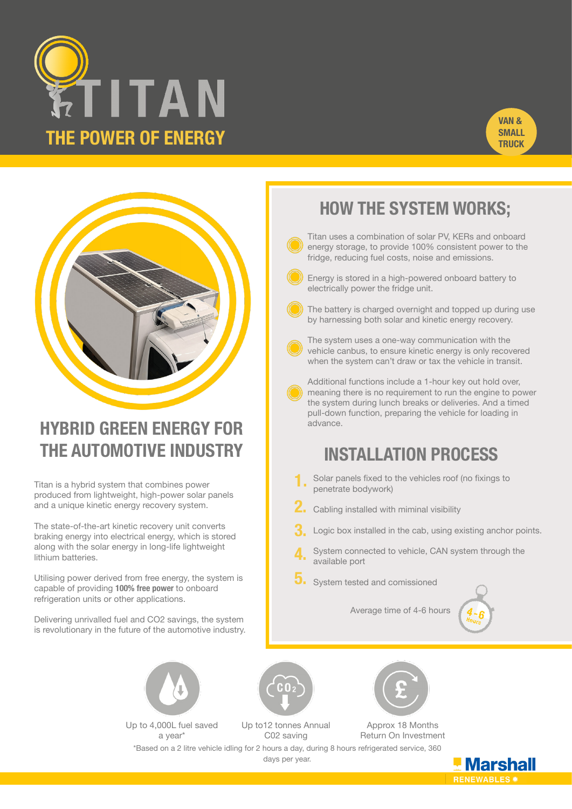





# **HYBRID GREEN ENERGY FOR THE AUTOMOTIVE INDUSTRY**

Titan is a hybrid system that combines power produced from lightweight, high-power solar panels and a unique kinetic energy recovery system.

The state-of-the-art kinetic recovery unit converts braking energy into electrical energy, which is stored along with the solar energy in long-life lightweight lithium batteries.

Utilising power derived from free energy, the system is capable of providing **100% free power** to onboard refrigeration units or other applications.

Delivering unrivalled fuel and CO2 savings, the system is revolutionary in the future of the automotive industry.



Up to 4,000L fuel saved a year\*

Up to12 tonnes Annual C02 saving



Approx 18 Months Return On Investment

\*Based on a 2 litre vehicle idling for 2 hours a day, during 8 hours refrigerated service, 360 days per year.

# **HOW THE SYSTEM WORKS;**

Titan uses a combination of solar PV, KERs and onboard energy storage, to provide 100% consistent power to the fridge, reducing fuel costs, noise and emissions.

- Energy is stored in a high-powered onboard battery to electrically power the fridge unit.
- The battery is charged overnight and topped up during use by harnessing both solar and kinetic energy recovery.



The system uses a one-way communication with the vehicle canbus, to ensure kinetic energy is only recovered when the system can't draw or tax the vehicle in transit.

Additional functions include a 1-hour key out hold over, meaning there is no requirement to run the engine to power the system during lunch breaks or deliveries. And a timed pull-down function, preparing the vehicle for loading in advance.

## **INSTALLATION PROCESS**

- Solar panels fixed to the vehicles roof (no fixings to penetrate bodywork) **1.**
- Cabling installed with miminal visibility **2.**
- Logic box installed in the cab, using existing anchor points. **3.**
- System connected to vehicle, CAN system through the available port **4.**
- System tested and comissioned **5.**

Average time of 4-6 hours